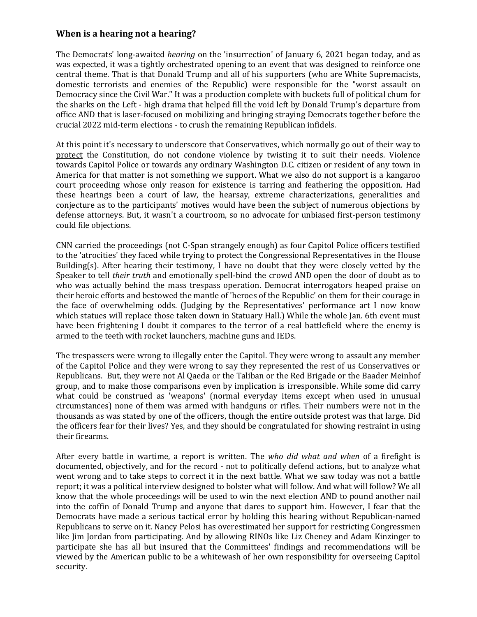## **When is a hearing not a hearing?**

The Democrats' long-awaited *hearing* on the 'insurrection' of January 6, 2021 began today, and as was expected, it was a tightly orchestrated opening to an event that was designed to reinforce one central theme. That is that Donald Trump and all of his supporters (who are White Supremacists, domestic terrorists and enemies of the Republic) were responsible for the "worst assault on Democracy since the Civil War." It was a production complete with buckets full of political chum for the sharks on the Left - high drama that helped fill the void left by Donald Trump's departure from office AND that is laser-focused on mobilizing and bringing straying Democrats together before the crucial 2022 mid-term elections - to crush the remaining Republican infidels.

At this point it's necessary to underscore that Conservatives, which normally go out of their way to protect the Constitution, do not condone violence by twisting it to suit their needs. Violence towards Capitol Police or towards any ordinary Washington D.C. citizen or resident of any town in America for that matter is not something we support. What we also do not support is a kangaroo court proceeding whose only reason for existence is tarring and feathering the opposition. Had these hearings been a court of law, the hearsay, extreme characterizations, generalities and conjecture as to the participants' motives would have been the subject of numerous objections by defense attorneys. But, it wasn't a courtroom, so no advocate for unbiased first-person testimony could file objections.

CNN carried the proceedings (not C-Span strangely enough) as four Capitol Police officers testified to the 'atrocities' they faced while trying to protect the Congressional Representatives in the House Building(s). After hearing their testimony, I have no doubt that they were closely vetted by the Speaker to tell *their truth* and emotionally spell-bind the crowd AND open the door of doubt as to who was actually behind the mass trespass operation. Democrat interrogators heaped praise on their heroic efforts and bestowed the mantle of 'heroes of the Republic' on them for their courage in the face of overwhelming odds. (Judging by the Representatives' performance art I now know which statues will replace those taken down in Statuary Hall.) While the whole Jan. 6th event must have been frightening I doubt it compares to the terror of a real battlefield where the enemy is armed to the teeth with rocket launchers, machine guns and IEDs.

The trespassers were wrong to illegally enter the Capitol. They were wrong to assault any member of the Capitol Police and they were wrong to say they represented the rest of us Conservatives or Republicans. But, they were not Al Qaeda or the Taliban or the Red Brigade or the Baader Meinhof group, and to make those comparisons even by implication is irresponsible. While some did carry what could be construed as 'weapons' (normal everyday items except when used in unusual circumstances) none of them was armed with handguns or rifles. Their numbers were not in the thousands as was stated by one of the officers, though the entire outside protest was that large. Did the officers fear for their lives? Yes, and they should be congratulated for showing restraint in using their firearms.

After every battle in wartime, a report is written. The *who did what and when* of a firefight is documented, objectively, and for the record - not to politically defend actions, but to analyze what went wrong and to take steps to correct it in the next battle. What we saw today was not a battle report; it was a political interview designed to bolster what will follow. And what will follow? We all know that the whole proceedings will be used to win the next election AND to pound another nail into the coffin of Donald Trump and anyone that dares to support him. However, I fear that the Democrats have made a serious tactical error by holding this hearing without Republican-named Republicans to serve on it. Nancy Pelosi has overestimated her support for restricting Congressmen like Jim Jordan from participating. And by allowing RINOs like Liz Cheney and Adam Kinzinger to participate she has all but insured that the Committees' findings and recommendations will be viewed by the American public to be a whitewash of her own responsibility for overseeing Capitol security.